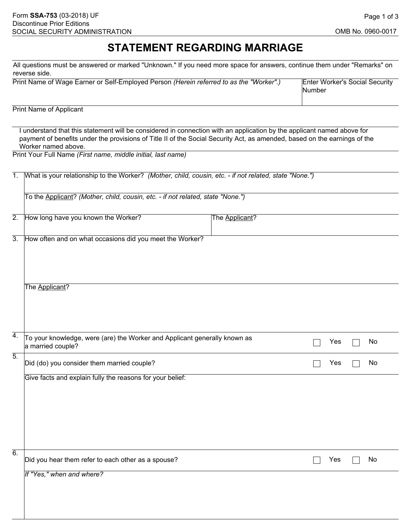## OMB No. 0960-0017

## **STATEMENT REGARDING MARRIAGE**

All questions must be answered or marked "Unknown." If you need more space for answers, continue them under "Remarks" on reverse side.

| Print Name of Wage Earner or Self-Employed Person (Herein referred to as the "Worker".) | Enter Worker's Social Security |
|-----------------------------------------------------------------------------------------|--------------------------------|
|                                                                                         | <b>Number</b>                  |

Print Name of Applicant

I understand that this statement will be considered in connection with an application by the applicant named above for payment of benefits under the provisions of Title II of the Social Security Act, as amended, based on the earnings of the Worker named above.

Print Your Full Name *(First name, middle initial, last name)*

| $\overline{1}$ . | What is your relationship to the Worker? (Mother, child, cousin, etc. - if not related, state "None.") |                |  |     |  |    |  |  |  |
|------------------|--------------------------------------------------------------------------------------------------------|----------------|--|-----|--|----|--|--|--|
|                  | To the Applicant? (Mother, child, cousin, etc. - if not related, state "None.")                        |                |  |     |  |    |  |  |  |
| $\overline{2}$ . | How long have you known the Worker?                                                                    | The Applicant? |  |     |  |    |  |  |  |
| $\overline{3}$ . | How often and on what occasions did you meet the Worker?                                               |                |  |     |  |    |  |  |  |
|                  | The Applicant?                                                                                         |                |  |     |  |    |  |  |  |
| $\overline{4}$ . | To your knowledge, were (are) the Worker and Applicant generally known as<br>a married couple?         |                |  | Yes |  | No |  |  |  |
| $\overline{5}$ . | Did (do) you consider them married couple?                                                             |                |  | Yes |  | No |  |  |  |
|                  | Give facts and explain fully the reasons for your belief:                                              |                |  |     |  |    |  |  |  |
| $\overline{6}$ . | Did you hear them refer to each other as a spouse?                                                     |                |  | Yes |  | No |  |  |  |
|                  | If "Yes," when and where?                                                                              |                |  |     |  |    |  |  |  |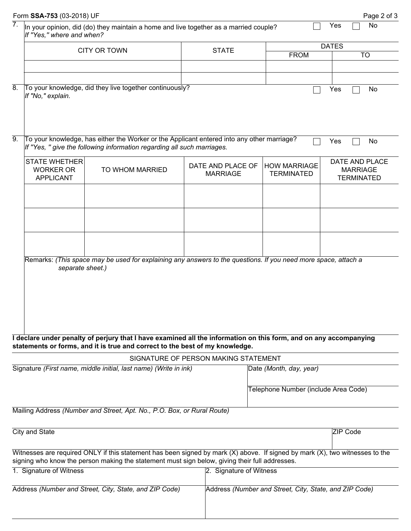|                                                        | Form SSA-753 (03-2018) UF                                                                                                                                                          |                                                                                                                                                                                                   |                                      |                                                        | Page 2 of 3                                            |  |  |
|--------------------------------------------------------|------------------------------------------------------------------------------------------------------------------------------------------------------------------------------------|---------------------------------------------------------------------------------------------------------------------------------------------------------------------------------------------------|--------------------------------------|--------------------------------------------------------|--------------------------------------------------------|--|--|
| 7.                                                     | No<br>Yes<br>In your opinion, did (do) they maintain a home and live together as a married couple?<br>If "Yes," where and when?                                                    |                                                                                                                                                                                                   |                                      |                                                        |                                                        |  |  |
|                                                        |                                                                                                                                                                                    | <b>CITY OR TOWN</b>                                                                                                                                                                               | <b>STATE</b>                         |                                                        | <b>DATES</b>                                           |  |  |
|                                                        |                                                                                                                                                                                    |                                                                                                                                                                                                   |                                      | <b>FROM</b>                                            | <b>TO</b>                                              |  |  |
|                                                        |                                                                                                                                                                                    |                                                                                                                                                                                                   |                                      |                                                        |                                                        |  |  |
| $\overline{8}$ .                                       | If "No," explain.                                                                                                                                                                  | To your knowledge, did they live together continuously?                                                                                                                                           |                                      |                                                        | Yes<br>No                                              |  |  |
| $\overline{9}$ .                                       | To your knowledge, has either the Worker or the Applicant entered into any other marriage?<br>No<br>Yes<br>If "Yes, " give the following information regarding all such marriages. |                                                                                                                                                                                                   |                                      |                                                        |                                                        |  |  |
|                                                        | <b>STATE WHETHER</b><br><b>WORKER OR</b><br><b>APPLICANT</b>                                                                                                                       | TO WHOM MARRIED                                                                                                                                                                                   | DATE AND PLACE OF<br><b>MARRIAGE</b> | <b>HOW MARRIAGE</b><br><b>TERMINATED</b>               | DATE AND PLACE<br><b>MARRIAGE</b><br><b>TERMINATED</b> |  |  |
|                                                        |                                                                                                                                                                                    |                                                                                                                                                                                                   |                                      |                                                        |                                                        |  |  |
|                                                        |                                                                                                                                                                                    |                                                                                                                                                                                                   |                                      |                                                        |                                                        |  |  |
|                                                        |                                                                                                                                                                                    |                                                                                                                                                                                                   |                                      |                                                        |                                                        |  |  |
|                                                        | separate sheet.)                                                                                                                                                                   | Remarks: (This space may be used for explaining any answers to the questions. If you need more space, attach a                                                                                    |                                      |                                                        |                                                        |  |  |
|                                                        |                                                                                                                                                                                    | I declare under penalty of perjury that I have examined all the information on this form, and on any accompanying<br>statements or forms, and it is true and correct to the best of my knowledge. |                                      |                                                        |                                                        |  |  |
|                                                        |                                                                                                                                                                                    |                                                                                                                                                                                                   | SIGNATURE OF PERSON MAKING STATEMENT |                                                        |                                                        |  |  |
|                                                        |                                                                                                                                                                                    | Signature (First name, middle initial, last name) (Write in ink)                                                                                                                                  |                                      | Date (Month, day, year)                                |                                                        |  |  |
|                                                        |                                                                                                                                                                                    |                                                                                                                                                                                                   |                                      | Telephone Number (include Area Code)                   |                                                        |  |  |
|                                                        |                                                                                                                                                                                    | Mailing Address (Number and Street, Apt. No., P.O. Box, or Rural Route)                                                                                                                           |                                      |                                                        |                                                        |  |  |
|                                                        | <b>City and State</b>                                                                                                                                                              |                                                                                                                                                                                                   |                                      |                                                        | <b>ZIP Code</b>                                        |  |  |
|                                                        |                                                                                                                                                                                    | Witnesses are required ONLY if this statement has been signed by mark $(X)$ above. If signed by mark $(X)$ , two witnesses to the                                                                 |                                      |                                                        |                                                        |  |  |
|                                                        |                                                                                                                                                                                    | signing who know the person making the statement must sign below, giving their full addresses.                                                                                                    |                                      |                                                        |                                                        |  |  |
|                                                        | 1. Signature of Witness                                                                                                                                                            |                                                                                                                                                                                                   | 2. Signature of Witness              |                                                        |                                                        |  |  |
| Address (Number and Street, City, State, and ZIP Code) |                                                                                                                                                                                    |                                                                                                                                                                                                   |                                      | Address (Number and Street, City, State, and ZIP Code) |                                                        |  |  |
|                                                        |                                                                                                                                                                                    |                                                                                                                                                                                                   |                                      |                                                        |                                                        |  |  |